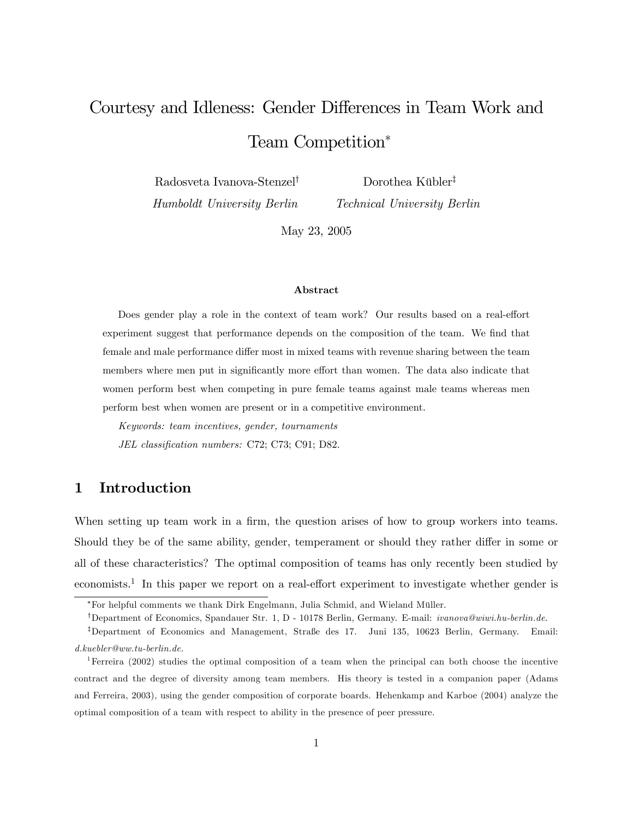# Courtesy and Idleness: Gender Differences in Team Work and Team Competition

Radosveta Ivanova-Stenzel<sup>†</sup> Humboldt University Berlin

Dorothea Kübler<sup>‡</sup>

Technical University Berlin

May 23, 2005

#### Abstract

Does gender play a role in the context of team work? Our results based on a real-effort experiment suggest that performance depends on the composition of the team. We find that female and male performance differ most in mixed teams with revenue sharing between the team members where men put in significantly more effort than women. The data also indicate that women perform best when competing in pure female teams against male teams whereas men perform best when women are present or in a competitive environment.

Keywords: team incentives, gender, tournaments JEL classification numbers: C72; C73; C91; D82.

# 1 Introduction

When setting up team work in a firm, the question arises of how to group workers into teams. Should they be of the same ability, gender, temperament or should they rather differ in some or all of these characteristics? The optimal composition of teams has only recently been studied by economists.<sup>1</sup> In this paper we report on a real-effort experiment to investigate whether gender is

<sup>\*</sup>For helpful comments we thank Dirk Engelmann, Julia Schmid, and Wieland Müller.

<sup>&</sup>lt;sup>†</sup>Department of Economics, Spandauer Str. 1, D - 10178 Berlin, Germany. E-mail: *ivanova@wiwi.hu-berlin.de.* 

<sup>&</sup>lt;sup>‡</sup>Department of Economics and Management, Straße des 17. Juni 135, 10623 Berlin, Germany. Email: d.kuebler@ww.tu-berlin.de.

<sup>1</sup>Ferreira (2002) studies the optimal composition of a team when the principal can both choose the incentive contract and the degree of diversity among team members. His theory is tested in a companion paper (Adams and Ferreira, 2003), using the gender composition of corporate boards. Hehenkamp and Karboe (2004) analyze the optimal composition of a team with respect to ability in the presence of peer pressure.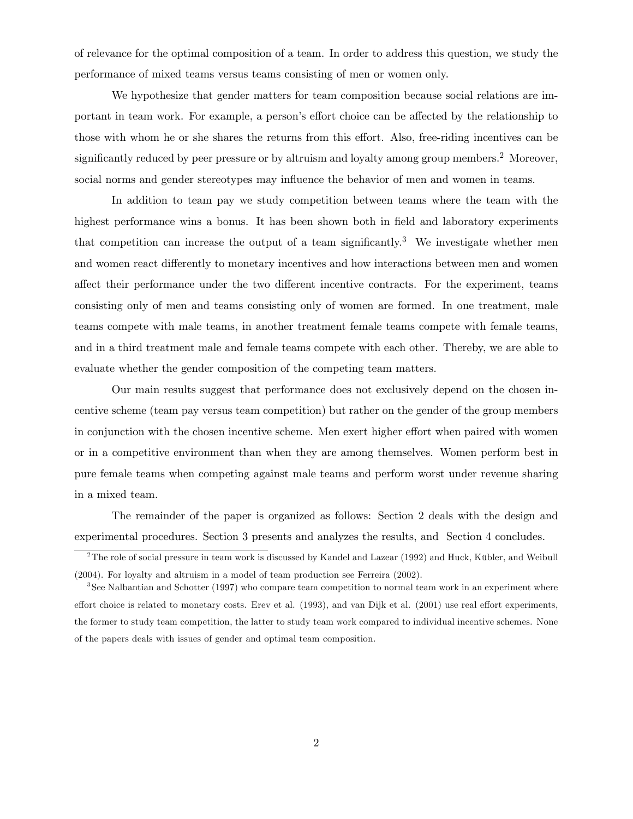of relevance for the optimal composition of a team. In order to address this question, we study the performance of mixed teams versus teams consisting of men or women only.

We hypothesize that gender matters for team composition because social relations are important in team work. For example, a person's effort choice can be affected by the relationship to those with whom he or she shares the returns from this effort. Also, free-riding incentives can be significantly reduced by peer pressure or by altruism and loyalty among group members.<sup>2</sup> Moreover, social norms and gender stereotypes may influence the behavior of men and women in teams.

In addition to team pay we study competition between teams where the team with the highest performance wins a bonus. It has been shown both in field and laboratory experiments that competition can increase the output of a team significantly.<sup>3</sup> We investigate whether men and women react differently to monetary incentives and how interactions between men and women affect their performance under the two different incentive contracts. For the experiment, teams consisting only of men and teams consisting only of women are formed. In one treatment, male teams compete with male teams, in another treatment female teams compete with female teams, and in a third treatment male and female teams compete with each other. Thereby, we are able to evaluate whether the gender composition of the competing team matters.

Our main results suggest that performance does not exclusively depend on the chosen incentive scheme (team pay versus team competition) but rather on the gender of the group members in conjunction with the chosen incentive scheme. Men exert higher effort when paired with women or in a competitive environment than when they are among themselves. Women perform best in pure female teams when competing against male teams and perform worst under revenue sharing in a mixed team.

The remainder of the paper is organized as follows: Section 2 deals with the design and experimental procedures. Section 3 presents and analyzes the results, and Section 4 concludes.

 $2$ The role of social pressure in team work is discussed by Kandel and Lazear (1992) and Huck, Kübler, and Weibull (2004). For loyalty and altruism in a model of team production see Ferreira (2002).

<sup>&</sup>lt;sup>3</sup>See Nalbantian and Schotter (1997) who compare team competition to normal team work in an experiment where effort choice is related to monetary costs. Erev et al. (1993), and van Dijk et al. (2001) use real effort experiments, the former to study team competition, the latter to study team work compared to individual incentive schemes. None of the papers deals with issues of gender and optimal team composition.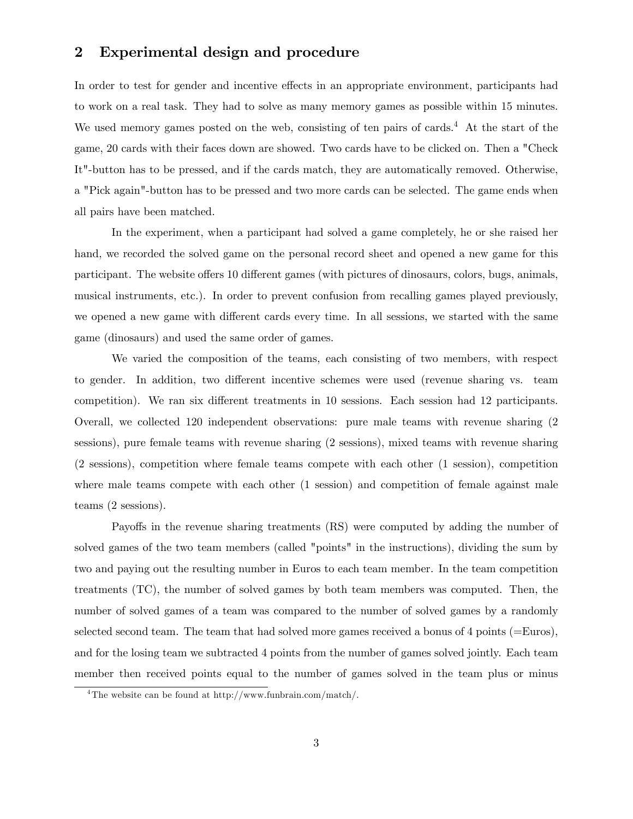## 2 Experimental design and procedure

In order to test for gender and incentive effects in an appropriate environment, participants had to work on a real task. They had to solve as many memory games as possible within 15 minutes. We used memory games posted on the web, consisting of ten pairs of cards.<sup>4</sup> At the start of the game, 20 cards with their faces down are showed. Two cards have to be clicked on. Then a "Check It"-button has to be pressed, and if the cards match, they are automatically removed. Otherwise, a "Pick again"-button has to be pressed and two more cards can be selected. The game ends when all pairs have been matched.

In the experiment, when a participant had solved a game completely, he or she raised her hand, we recorded the solved game on the personal record sheet and opened a new game for this participant. The website offers 10 different games (with pictures of dinosaurs, colors, bugs, animals, musical instruments, etc.). In order to prevent confusion from recalling games played previously, we opened a new game with different cards every time. In all sessions, we started with the same game (dinosaurs) and used the same order of games.

We varied the composition of the teams, each consisting of two members, with respect to gender. In addition, two different incentive schemes were used (revenue sharing vs. team competition). We ran six different treatments in 10 sessions. Each session had 12 participants. Overall, we collected 120 independent observations: pure male teams with revenue sharing (2 sessions), pure female teams with revenue sharing (2 sessions), mixed teams with revenue sharing (2 sessions), competition where female teams compete with each other (1 session), competition where male teams compete with each other (1 session) and competition of female against male teams (2 sessions).

Payoffs in the revenue sharing treatments (RS) were computed by adding the number of solved games of the two team members (called "points" in the instructions), dividing the sum by two and paying out the resulting number in Euros to each team member. In the team competition treatments (TC), the number of solved games by both team members was computed. Then, the number of solved games of a team was compared to the number of solved games by a randomly selected second team. The team that had solved more games received a bonus of 4 points (=Euros), and for the losing team we subtracted 4 points from the number of games solved jointly. Each team member then received points equal to the number of games solved in the team plus or minus

<sup>4</sup>The website can be found at http://www.funbrain.com/match/.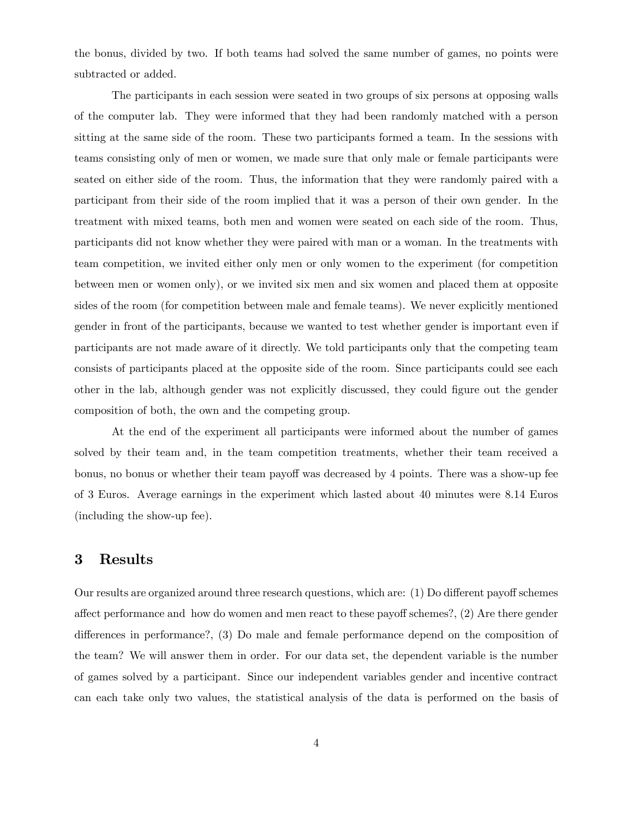the bonus, divided by two. If both teams had solved the same number of games, no points were subtracted or added.

The participants in each session were seated in two groups of six persons at opposing walls of the computer lab. They were informed that they had been randomly matched with a person sitting at the same side of the room. These two participants formed a team. In the sessions with teams consisting only of men or women, we made sure that only male or female participants were seated on either side of the room. Thus, the information that they were randomly paired with a participant from their side of the room implied that it was a person of their own gender. In the treatment with mixed teams, both men and women were seated on each side of the room. Thus, participants did not know whether they were paired with man or a woman. In the treatments with team competition, we invited either only men or only women to the experiment (for competition between men or women only), or we invited six men and six women and placed them at opposite sides of the room (for competition between male and female teams). We never explicitly mentioned gender in front of the participants, because we wanted to test whether gender is important even if participants are not made aware of it directly. We told participants only that the competing team consists of participants placed at the opposite side of the room. Since participants could see each other in the lab, although gender was not explicitly discussed, they could Ögure out the gender composition of both, the own and the competing group.

At the end of the experiment all participants were informed about the number of games solved by their team and, in the team competition treatments, whether their team received a bonus, no bonus or whether their team payoff was decreased by 4 points. There was a show-up fee of 3 Euros. Average earnings in the experiment which lasted about 40 minutes were 8.14 Euros (including the show-up fee).

### 3 Results

Our results are organized around three research questions, which are:  $(1)$  Do different payoff schemes affect performance and how do women and men react to these payoff schemes?,  $(2)$  Are there gender differences in performance?,  $(3)$  Do male and female performance depend on the composition of the team? We will answer them in order. For our data set, the dependent variable is the number of games solved by a participant. Since our independent variables gender and incentive contract can each take only two values, the statistical analysis of the data is performed on the basis of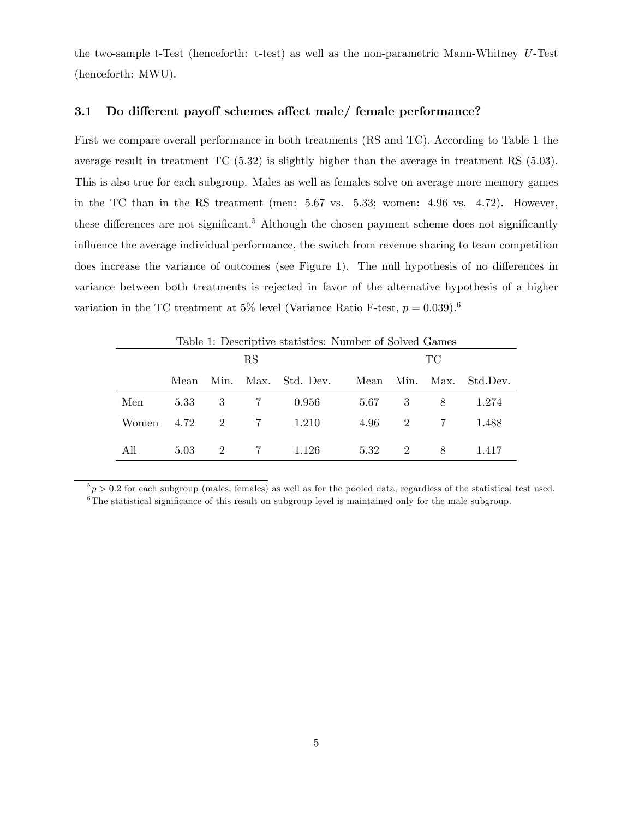the two-sample t-Test (henceforth: t-test) as well as the non-parametric Mann-Whitney U -Test (henceforth: MWU).

#### 3.1 Do different payoff schemes affect male/ female performance?

First we compare overall performance in both treatments (RS and TC). According to Table 1 the average result in treatment TC (5.32) is slightly higher than the average in treatment RS (5.03). This is also true for each subgroup. Males as well as females solve on average more memory games in the TC than in the RS treatment (men: 5.67 vs. 5.33; women: 4.96 vs. 4.72). However, these differences are not significant.<sup>5</sup> Although the chosen payment scheme does not significantly influence the average individual performance, the switch from revenue sharing to team competition does increase the variance of outcomes (see Figure 1). The null hypothesis of no differences in variance between both treatments is rejected in favor of the alternative hypothesis of a higher variation in the TC treatment at 5% level (Variance Ratio F-test,  $p = 0.039$ ).<sup>6</sup>

| Table 1: Descriptive statistics: Number of Solved Games |          |                |                 |                |      |        |                  |          |
|---------------------------------------------------------|----------|----------------|-----------------|----------------|------|--------|------------------|----------|
|                                                         | RS       |                |                 |                | TC   |        |                  |          |
|                                                         | Mean     | Min.           |                 | Max. Std. Dev. | Mean | Min.   | Max.             | Std.Dev. |
| Men                                                     |          |                | 5.33 3 7        | 0.956          |      | 5.67 3 | 8 <sup>8</sup>   | 1.274    |
| Women                                                   | 4.72 2 7 |                |                 | 1.210          |      |        | $4.96 \t 2 \t 7$ | 1.488    |
| All                                                     | 5.03     | $\overline{2}$ | $7\overline{7}$ | 1.126          | 5.32 | 2      | 8                | 1.417    |

 $5p > 0.2$  for each subgroup (males, females) as well as for the pooled data, regardless of the statistical test used.  $6$ The statistical significance of this result on subgroup level is maintained only for the male subgroup.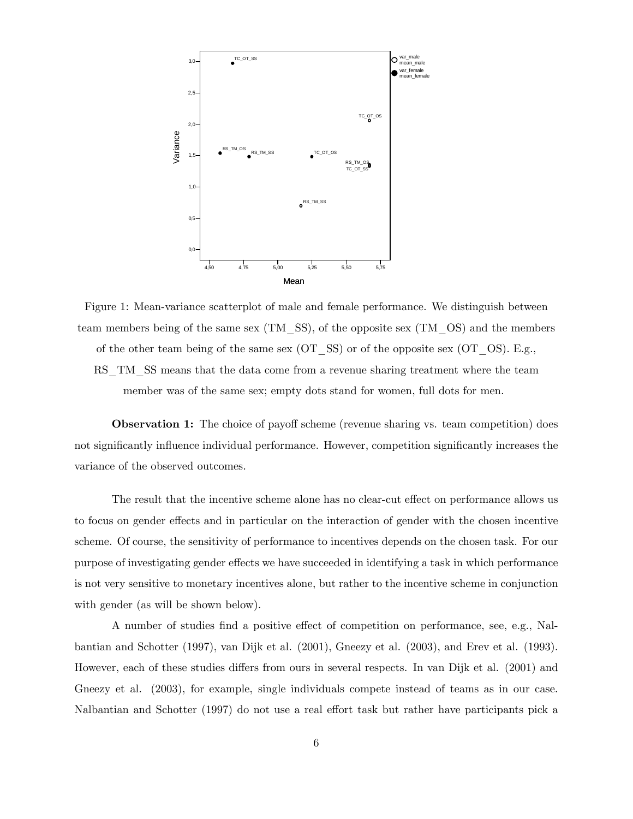

Figure 1: Mean-variance scatterplot of male and female performance. We distinguish between team members being of the same sex (TM\_SS), of the opposite sex (TM\_OS) and the members

of the other team being of the same sex (OT  $SS$ ) or of the opposite sex (OT  $OS$ ). E.g.,

RS TM SS means that the data come from a revenue sharing treatment where the team member was of the same sex; empty dots stand for women, full dots for men.

**Observation 1:** The choice of payoff scheme (revenue sharing vs. team competition) does not significantly influence individual performance. However, competition significantly increases the variance of the observed outcomes.

The result that the incentive scheme alone has no clear-cut effect on performance allows us to focus on gender effects and in particular on the interaction of gender with the chosen incentive scheme. Of course, the sensitivity of performance to incentives depends on the chosen task. For our purpose of investigating gender effects we have succeeded in identifying a task in which performance is not very sensitive to monetary incentives alone, but rather to the incentive scheme in conjunction with gender (as will be shown below).

A number of studies find a positive effect of competition on performance, see, e.g., Nalbantian and Schotter (1997), van Dijk et al. (2001), Gneezy et al. (2003), and Erev et al. (1993). However, each of these studies differs from ours in several respects. In van Dijk et al. (2001) and Gneezy et al.  $(2003)$ , for example, single individuals compete instead of teams as in our case. Nalbantian and Schotter (1997) do not use a real effort task but rather have participants pick a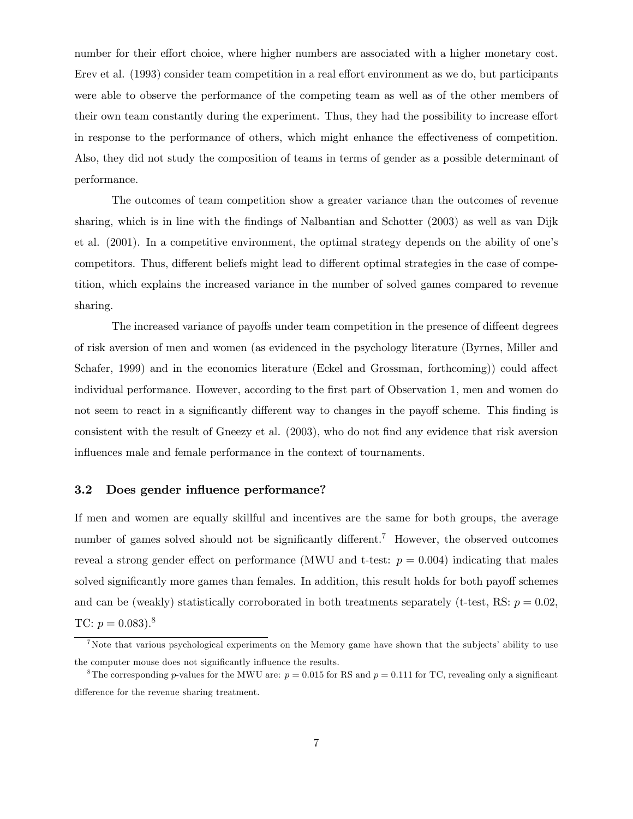number for their effort choice, where higher numbers are associated with a higher monetary cost. Erev et al. (1993) consider team competition in a real effort environment as we do, but participants were able to observe the performance of the competing team as well as of the other members of their own team constantly during the experiment. Thus, they had the possibility to increase effort in response to the performance of others, which might enhance the effectiveness of competition. Also, they did not study the composition of teams in terms of gender as a possible determinant of performance.

The outcomes of team competition show a greater variance than the outcomes of revenue sharing, which is in line with the findings of Nalbantian and Schotter (2003) as well as van Dijk et al. (2001). In a competitive environment, the optimal strategy depends on the ability of one's competitors. Thus, different beliefs might lead to different optimal strategies in the case of competition, which explains the increased variance in the number of solved games compared to revenue sharing.

The increased variance of payoffs under team competition in the presence of diffeent degrees of risk aversion of men and women (as evidenced in the psychology literature (Byrnes, Miller and Schafer, 1999) and in the economics literature (Eckel and Grossman, forthcoming)) could affect individual performance. However, according to the first part of Observation 1, men and women do not seem to react in a significantly different way to changes in the payoff scheme. This finding is consistent with the result of Gneezy et al. (2003), who do not find any evidence that risk aversion influences male and female performance in the context of tournaments.

#### 3.2 Does gender influence performance?

If men and women are equally skillful and incentives are the same for both groups, the average number of games solved should not be significantly different.<sup>7</sup> However, the observed outcomes reveal a strong gender effect on performance (MWU and t-test:  $p = 0.004$ ) indicating that males solved significantly more games than females. In addition, this result holds for both payoff schemes and can be (weakly) statistically corroborated in both treatments separately (t-test, RS:  $p = 0.02$ , TC:  $p = 0.083$ ).<sup>8</sup>

<sup>&</sup>lt;sup>7</sup>Note that various psychological experiments on the Memory game have shown that the subjects' ability to use the computer mouse does not significantly influence the results.

<sup>&</sup>lt;sup>8</sup>The corresponding p-values for the MWU are:  $p = 0.015$  for RS and  $p = 0.111$  for TC, revealing only a significant difference for the revenue sharing treatment.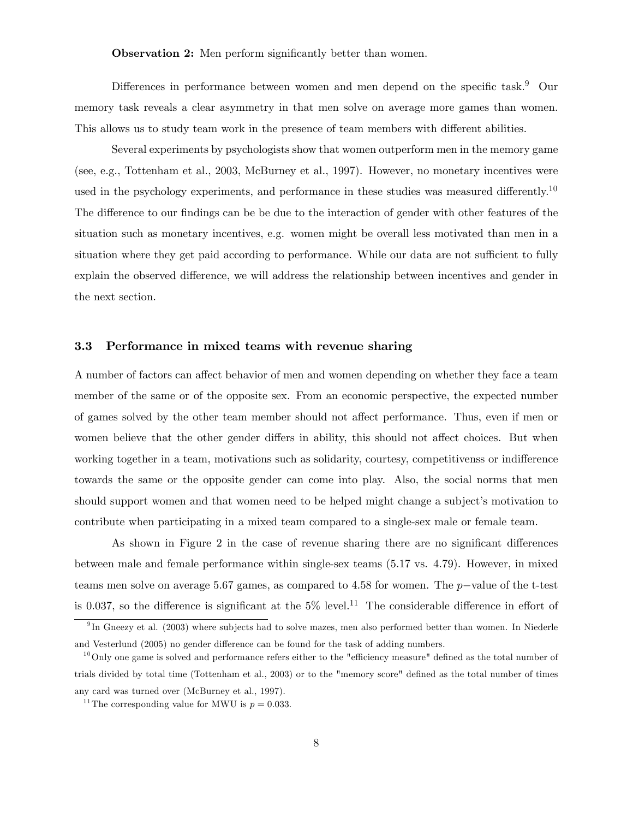**Observation 2:** Men perform significantly better than women.

Differences in performance between women and men depend on the specific task.<sup>9</sup> Our memory task reveals a clear asymmetry in that men solve on average more games than women. This allows us to study team work in the presence of team members with different abilities.

Several experiments by psychologists show that women outperform men in the memory game (see, e.g., Tottenham et al., 2003, McBurney et al., 1997). However, no monetary incentives were used in the psychology experiments, and performance in these studies was measured differently.<sup>10</sup> The difference to our findings can be be due to the interaction of gender with other features of the situation such as monetary incentives, e.g. women might be overall less motivated than men in a situation where they get paid according to performance. While our data are not sufficient to fully explain the observed difference, we will address the relationship between incentives and gender in the next section.

#### 3.3 Performance in mixed teams with revenue sharing

A number of factors can affect behavior of men and women depending on whether they face a team member of the same or of the opposite sex. From an economic perspective, the expected number of games solved by the other team member should not affect performance. Thus, even if men or women believe that the other gender differs in ability, this should not affect choices. But when working together in a team, motivations such as solidarity, courtesy, competitivenss or indifference towards the same or the opposite gender can come into play. Also, the social norms that men should support women and that women need to be helped might change a subject's motivation to contribute when participating in a mixed team compared to a single-sex male or female team.

As shown in Figure 2 in the case of revenue sharing there are no significant differences between male and female performance within single-sex teams (5.17 vs. 4.79). However, in mixed teams men solve on average 5.67 games, as compared to 4.58 for women. The  $p$ -value of the t-test is 0.037, so the difference is significant at the  $5\%$  level.<sup>11</sup> The considerable difference in effort of

<sup>&</sup>lt;sup>9</sup>In Gneezy et al. (2003) where subjects had to solve mazes, men also performed better than women. In Niederle and Vesterlund (2005) no gender difference can be found for the task of adding numbers.

 $10^0$ Only one game is solved and performance refers either to the "efficiency measure" defined as the total number of trials divided by total time (Tottenham et al., 2003) or to the "memory score" defined as the total number of times any card was turned over (McBurney et al., 1997).

<sup>&</sup>lt;sup>11</sup> The corresponding value for MWU is  $p = 0.033$ .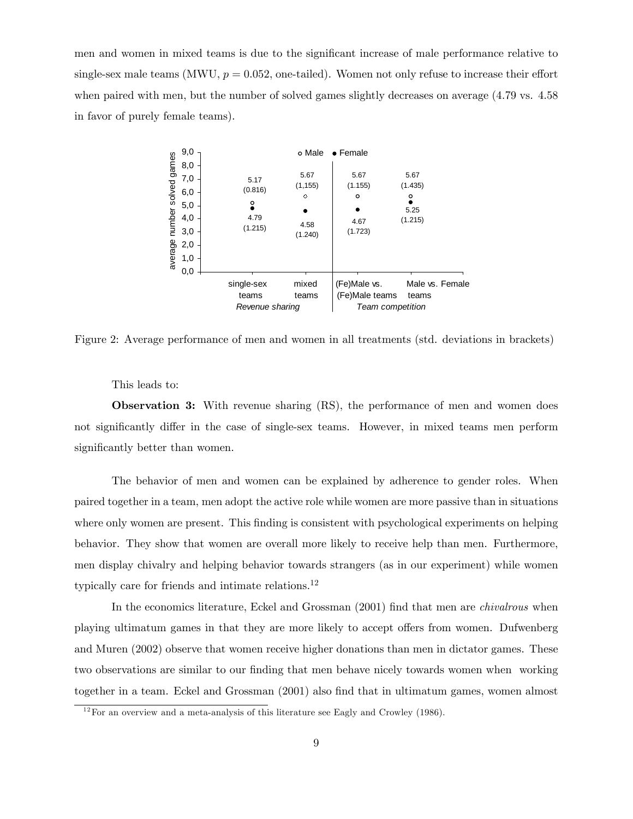men and women in mixed teams is due to the significant increase of male performance relative to single-sex male teams (MWU,  $p = 0.052$ , one-tailed). Women not only refuse to increase their effort when paired with men, but the number of solved games slightly decreases on average (4.79 vs. 4.58 in favor of purely female teams).



Figure 2: Average performance of men and women in all treatments (std. deviations in brackets)

This leads to:

Observation 3: With revenue sharing (RS), the performance of men and women does not significantly differ in the case of single-sex teams. However, in mixed teams men perform significantly better than women.

The behavior of men and women can be explained by adherence to gender roles. When paired together in a team, men adopt the active role while women are more passive than in situations where only women are present. This finding is consistent with psychological experiments on helping behavior. They show that women are overall more likely to receive help than men. Furthermore, men display chivalry and helping behavior towards strangers (as in our experiment) while women typically care for friends and intimate relations.<sup>12</sup>

In the economics literature, Eckel and Grossman (2001) find that men are *chivalrous* when playing ultimatum games in that they are more likely to accept offers from women. Dufwenberg and Muren (2002) observe that women receive higher donations than men in dictator games. These two observations are similar to our finding that men behave nicely towards women when working together in a team. Eckel and Grossman (2001) also find that in ultimatum games, women almost

 $12$  For an overview and a meta-analysis of this literature see Eagly and Crowley (1986).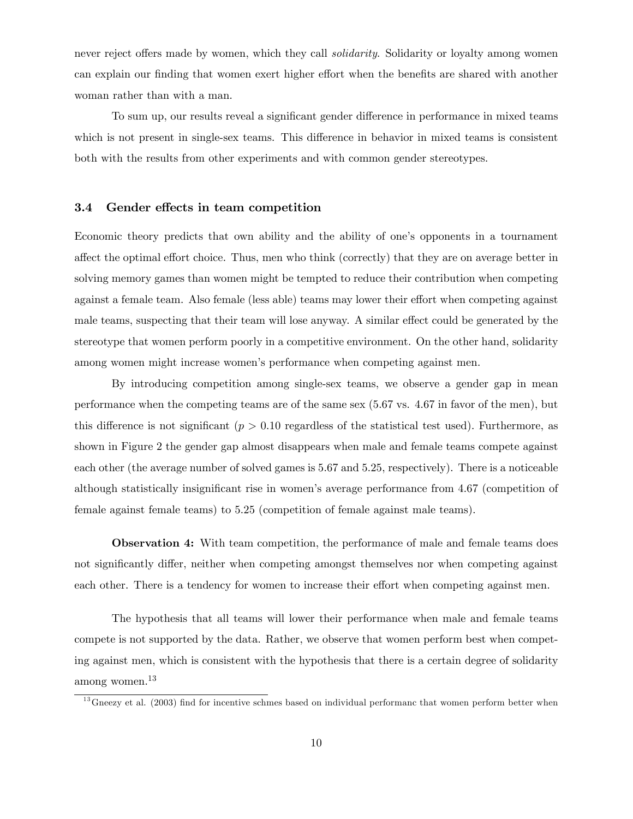never reject offers made by women, which they call *solidarity*. Solidarity or loyalty among women can explain our finding that women exert higher effort when the benefits are shared with another woman rather than with a man.

To sum up, our results reveal a significant gender difference in performance in mixed teams which is not present in single-sex teams. This difference in behavior in mixed teams is consistent both with the results from other experiments and with common gender stereotypes.

#### 3.4 Gender effects in team competition

Economic theory predicts that own ability and the ability of one's opponents in a tournament affect the optimal effort choice. Thus, men who think (correctly) that they are on average better in solving memory games than women might be tempted to reduce their contribution when competing against a female team. Also female (less able) teams may lower their effort when competing against male teams, suspecting that their team will lose anyway. A similar effect could be generated by the stereotype that women perform poorly in a competitive environment. On the other hand, solidarity among women might increase womenís performance when competing against men.

By introducing competition among single-sex teams, we observe a gender gap in mean performance when the competing teams are of the same sex (5.67 vs. 4.67 in favor of the men), but this difference is not significant ( $p > 0.10$  regardless of the statistical test used). Furthermore, as shown in Figure 2 the gender gap almost disappears when male and female teams compete against each other (the average number of solved games is 5.67 and 5.25, respectively). There is a noticeable although statistically insignificant rise in women's average performance from 4.67 (competition of female against female teams) to 5.25 (competition of female against male teams).

Observation 4: With team competition, the performance of male and female teams does not significantly differ, neither when competing amongst themselves nor when competing against each other. There is a tendency for women to increase their effort when competing against men.

The hypothesis that all teams will lower their performance when male and female teams compete is not supported by the data. Rather, we observe that women perform best when competing against men, which is consistent with the hypothesis that there is a certain degree of solidarity among women.<sup>13</sup>

 $13$  Gneezy et al. (2003) find for incentive schmes based on individual performanc that women perform better when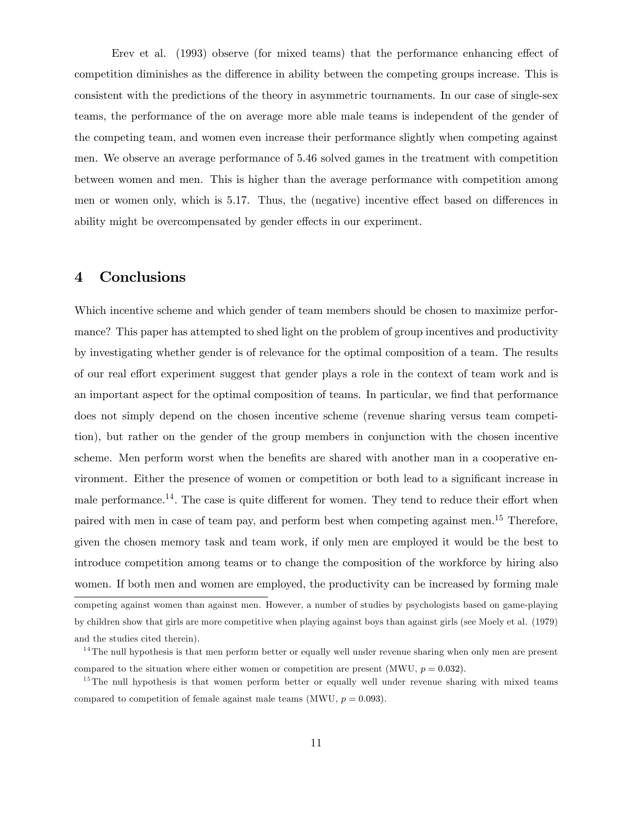Erev et al.  $(1993)$  observe (for mixed teams) that the performance enhancing effect of competition diminishes as the difference in ability between the competing groups increase. This is consistent with the predictions of the theory in asymmetric tournaments. In our case of single-sex teams, the performance of the on average more able male teams is independent of the gender of the competing team, and women even increase their performance slightly when competing against men. We observe an average performance of 5.46 solved games in the treatment with competition between women and men. This is higher than the average performance with competition among men or women only, which is 5.17. Thus, the (negative) incentive effect based on differences in ability might be overcompensated by gender effects in our experiment.

## 4 Conclusions

Which incentive scheme and which gender of team members should be chosen to maximize performance? This paper has attempted to shed light on the problem of group incentives and productivity by investigating whether gender is of relevance for the optimal composition of a team. The results of our real effort experiment suggest that gender plays a role in the context of team work and is an important aspect for the optimal composition of teams. In particular, we find that performance does not simply depend on the chosen incentive scheme (revenue sharing versus team competition), but rather on the gender of the group members in conjunction with the chosen incentive scheme. Men perform worst when the benefits are shared with another man in a cooperative environment. Either the presence of women or competition or both lead to a significant increase in male performance.<sup>14</sup>. The case is quite different for women. They tend to reduce their effort when paired with men in case of team pay, and perform best when competing against men.<sup>15</sup> Therefore, given the chosen memory task and team work, if only men are employed it would be the best to introduce competition among teams or to change the composition of the workforce by hiring also women. If both men and women are employed, the productivity can be increased by forming male competing against women than against men. However, a number of studies by psychologists based on game-playing by children show that girls are more competitive when playing against boys than against girls (see Moely et al. (1979) and the studies cited therein).

<sup>&</sup>lt;sup>14</sup>The null hypothesis is that men perform better or equally well under revenue sharing when only men are present compared to the situation where either women or competition are present (MWU,  $p = 0.032$ ).

<sup>&</sup>lt;sup>15</sup>The null hypothesis is that women perform better or equally well under revenue sharing with mixed teams compared to competition of female against male teams (MWU,  $p = 0.093$ ).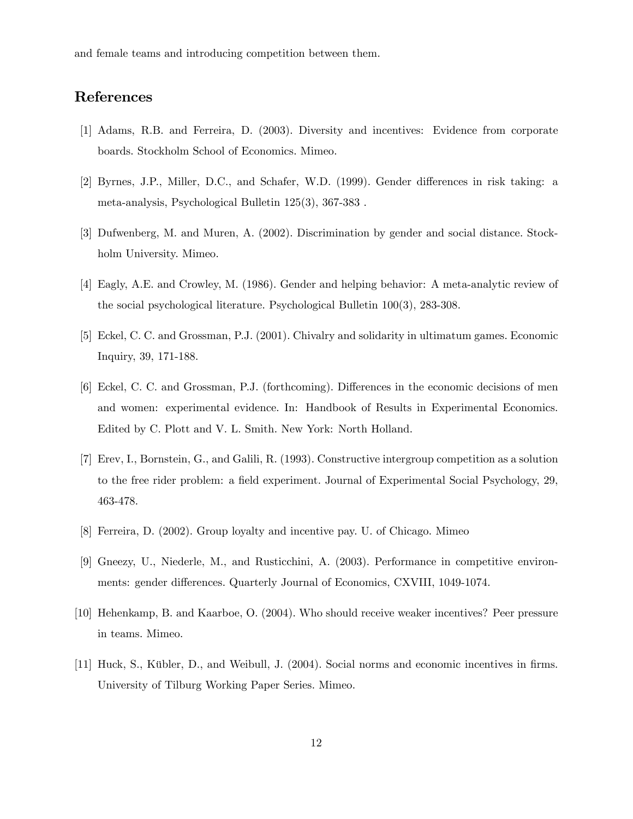and female teams and introducing competition between them.

# References

- [1] Adams, R.B. and Ferreira, D. (2003). Diversity and incentives: Evidence from corporate boards. Stockholm School of Economics. Mimeo.
- [2] Byrnes, J.P., Miller, D.C., and Schafer, W.D. (1999). Gender differences in risk taking: a meta-analysis, Psychological Bulletin 125(3), 367-383 .
- [3] Dufwenberg, M. and Muren, A. (2002). Discrimination by gender and social distance. Stockholm University. Mimeo.
- [4] Eagly, A.E. and Crowley, M. (1986). Gender and helping behavior: A meta-analytic review of the social psychological literature. Psychological Bulletin 100(3), 283-308.
- [5] Eckel, C. C. and Grossman, P.J. (2001). Chivalry and solidarity in ultimatum games. Economic Inquiry, 39, 171-188.
- [6] Eckel, C. C. and Grossman, P.J. (forthcoming). Differences in the economic decisions of men and women: experimental evidence. In: Handbook of Results in Experimental Economics. Edited by C. Plott and V. L. Smith. New York: North Holland.
- [7] Erev, I., Bornstein, G., and Galili, R. (1993). Constructive intergroup competition as a solution to the free rider problem: a field experiment. Journal of Experimental Social Psychology, 29, 463-478.
- [8] Ferreira, D. (2002). Group loyalty and incentive pay. U. of Chicago. Mimeo
- [9] Gneezy, U., Niederle, M., and Rusticchini, A. (2003). Performance in competitive environments: gender differences. Quarterly Journal of Economics, CXVIII, 1049-1074.
- [10] Hehenkamp, B. and Kaarboe, O. (2004). Who should receive weaker incentives? Peer pressure in teams. Mimeo.
- [11] Huck, S., Kübler, D., and Weibull, J. (2004). Social norms and economic incentives in firms. University of Tilburg Working Paper Series. Mimeo.